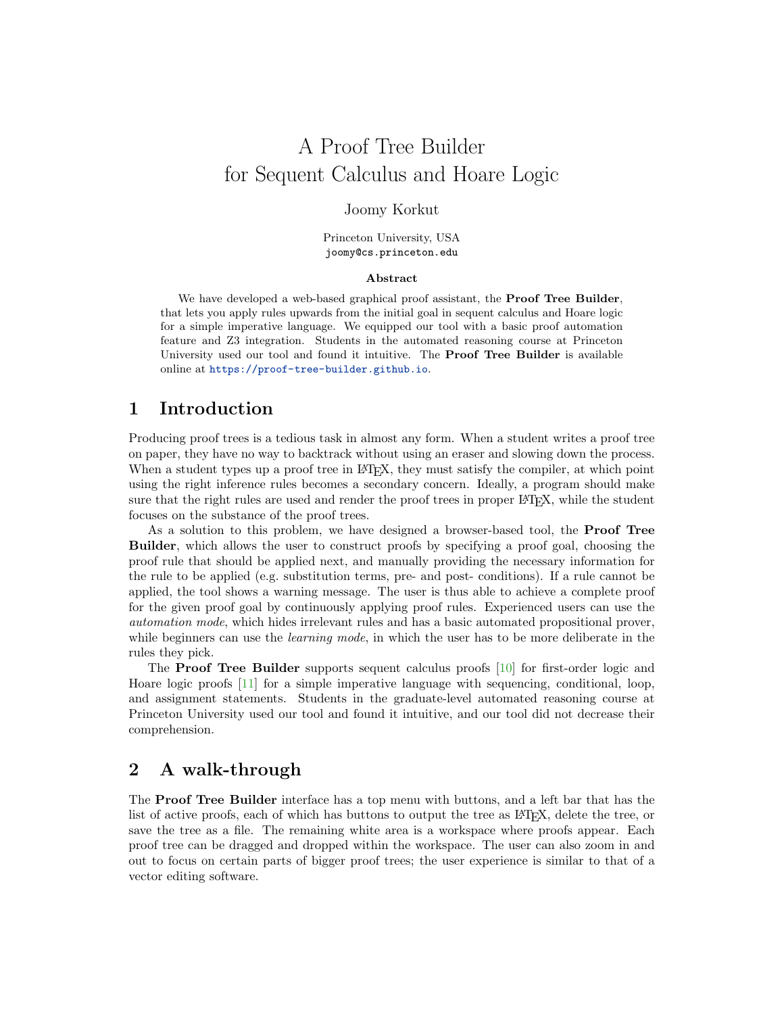#### Joomy Korkut

Princeton University, USA joomy@cs.princeton.edu

#### Abstract

We have developed a web-based graphical proof assistant, the **Proof Tree Builder**, that lets you apply rules upwards from the initial goal in sequent calculus and Hoare logic for a simple imperative language. We equipped our tool with a basic proof automation feature and Z3 integration. Students in the automated reasoning course at Princeton University used our tool and found it intuitive. The Proof Tree Builder is available online at <https://proof-tree-builder.github.io>.

### 1 Introduction

Producing proof trees is a tedious task in almost any form. When a student writes a proof tree on paper, they have no way to backtrack without using an eraser and slowing down the process. When a student types up a proof tree in LAT<sub>EX</sub>, they must satisfy the compiler, at which point using the right inference rules becomes a secondary concern. Ideally, a program should make sure that the right rules are used and render the proof trees in proper L<sup>AT</sup>FX, while the student focuses on the substance of the proof trees.

As a solution to this problem, we have designed a browser-based tool, the Proof Tree Builder, which allows the user to construct proofs by specifying a proof goal, choosing the proof rule that should be applied next, and manually providing the necessary information for the rule to be applied (e.g. substitution terms, pre- and post- conditions). If a rule cannot be applied, the tool shows a warning message. The user is thus able to achieve a complete proof for the given proof goal by continuously applying proof rules. Experienced users can use the automation mode, which hides irrelevant rules and has a basic automated propositional prover, while beginners can use the *learning mode*, in which the user has to be more deliberate in the rules they pick.

The Proof Tree Builder supports sequent calculus proofs [\[10\]](#page-6-0) for first-order logic and Hoare logic proofs [\[11\]](#page-6-1) for a simple imperative language with sequencing, conditional, loop, and assignment statements. Students in the graduate-level automated reasoning course at Princeton University used our tool and found it intuitive, and our tool did not decrease their comprehension.

# 2 A walk-through

The Proof Tree Builder interface has a top menu with buttons, and a left bar that has the list of active proofs, each of which has buttons to output the tree as LAT<sub>E</sub>X, delete the tree, or save the tree as a file. The remaining white area is a workspace where proofs appear. Each proof tree can be dragged and dropped within the workspace. The user can also zoom in and out to focus on certain parts of bigger proof trees; the user experience is similar to that of a vector editing software.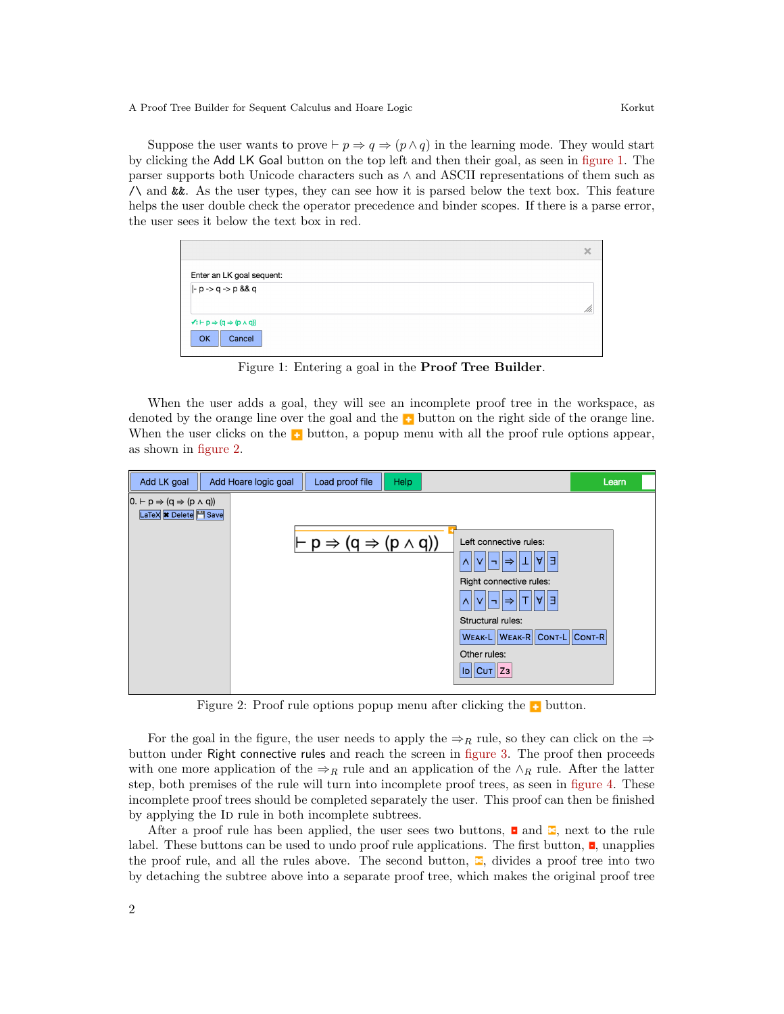Suppose the user wants to prove  $\vdash p \Rightarrow q \Rightarrow (p \land q)$  in the learning mode. They would start by clicking the Add LK Goal button on the top left and then their goal, as seen in [figure 1.](#page-1-0) The parser supports both Unicode characters such as ∧ and ASCII representations of them such as /\ and &&. As the user types, they can see how it is parsed below the text box. This feature helps the user double check the operator precedence and binder scopes. If there is a parse error, the user sees it below the text box in red.

|                                                                 | $\times$ |
|-----------------------------------------------------------------|----------|
| Enter an LK goal sequent:                                       |          |
| $ -p - > q - > p$ && q                                          |          |
|                                                                 |          |
| $\sqrt{a}$ : $\vdash p \Rightarrow (q \Rightarrow (p \land q))$ |          |
| OK<br>Cancel                                                    |          |

<span id="page-1-0"></span>Figure 1: Entering a goal in the Proof Tree Builder.

When the user adds a goal, they will see an incomplete proof tree in the workspace, as denoted by the orange line over the goal and the  $\bullet$  button on the right side of the orange line. When the user clicks on the  $\bullet$  button, a popup menu with all the proof rule options appear, as shown in [figure 2.](#page-1-1)



<span id="page-1-1"></span>Figure 2: Proof rule options popup menu after clicking the **button**.

For the goal in the figure, the user needs to apply the  $\Rightarrow_R$  rule, so they can click on the  $\Rightarrow$ button under Right connective rules and reach the screen in [figure 3.](#page-2-0) The proof then proceeds with one more application of the  $\Rightarrow_R$  rule and an application of the ∧<sub>R</sub> rule. After the latter step, both premises of the rule will turn into incomplete proof trees, as seen in [figure 4.](#page-2-1) These incomplete proof trees should be completed separately the user. This proof can then be finished by applying the ID rule in both incomplete subtrees.

After a proof rule has been applied, the user sees two buttons,  $\Box$  and  $\Box$ , next to the rule label. These buttons can be used to undo proof rule applications. The first button,  $\Box$ , unapplies the proof rule, and all the rules above. The second button,  $\Xi$ , divides a proof tree into two by detaching the subtree above into a separate proof tree, which makes the original proof tree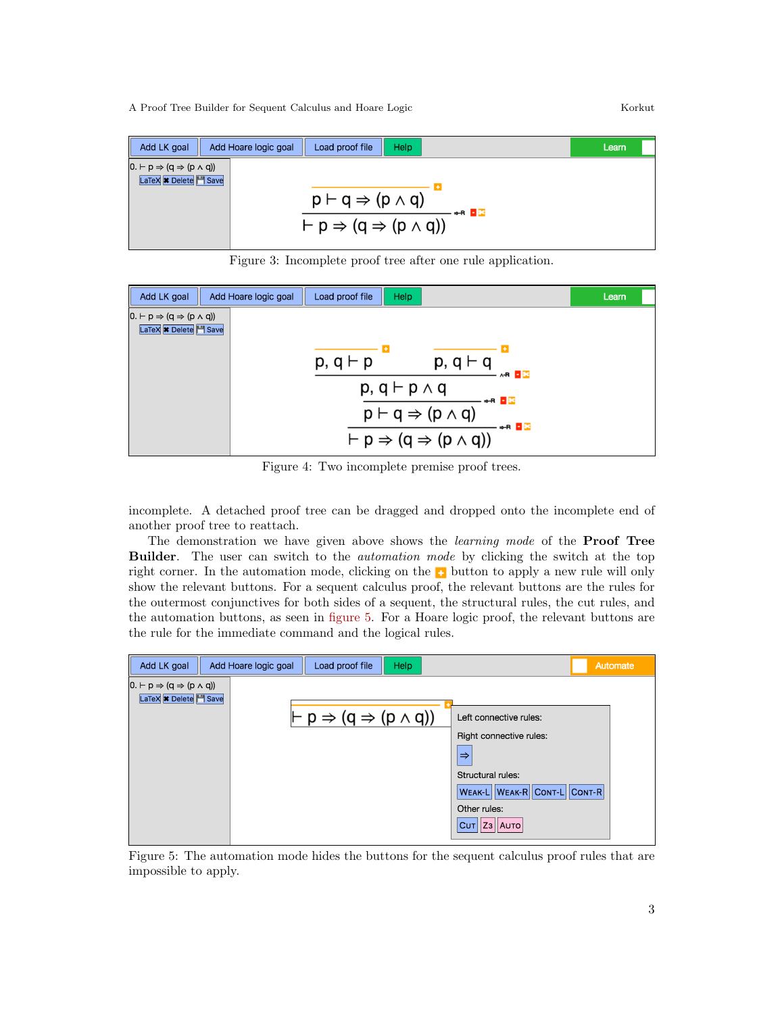Add LK goal Add Hoare logic goal Load proof file Help Learn  $0. \vdash p \Rightarrow (q \Rightarrow (p \land q))$ LaTeX **\*** Delete H Save  $\frac{\overline{p \vdash q \Rightarrow (p \land q)}}{\vdash p \Rightarrow (q \Rightarrow (p \land q))} \rightarrow n \square$ 

<span id="page-2-0"></span>Figure 3: Incomplete proof tree after one rule application.



<span id="page-2-1"></span>Figure 4: Two incomplete premise proof trees.

incomplete. A detached proof tree can be dragged and dropped onto the incomplete end of another proof tree to reattach.

The demonstration we have given above shows the *learning mode* of the **Proof Tree** Builder. The user can switch to the *automation mode* by clicking the switch at the top right corner. In the automation mode, clicking on the  $\bullet$  button to apply a new rule will only show the relevant buttons. For a sequent calculus proof, the relevant buttons are the rules for the outermost conjunctives for both sides of a sequent, the structural rules, the cut rules, and the automation buttons, as seen in [figure 5.](#page-2-2) For a Hoare logic proof, the relevant buttons are the rule for the immediate command and the logical rules.



<span id="page-2-2"></span>Figure 5: The automation mode hides the buttons for the sequent calculus proof rules that are impossible to apply.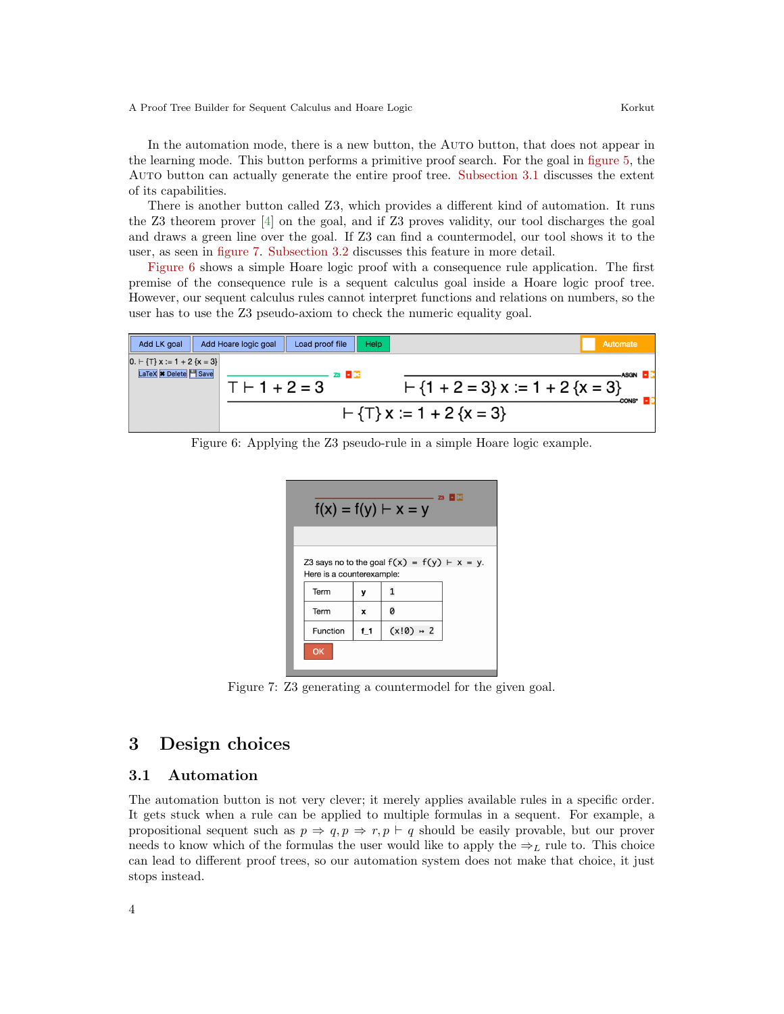In the automation mode, there is a new button, the Auto button, that does not appear in the learning mode. This button performs a primitive proof search. For the goal in [figure 5,](#page-2-2) the Auto button can actually generate the entire proof tree. [Subsection 3.1](#page-3-0) discusses the extent of its capabilities.

There is another button called Z3, which provides a different kind of automation. It runs the Z3 theorem prover [\[4\]](#page-6-2) on the goal, and if Z3 proves validity, our tool discharges the goal and draws a green line over the goal. If Z3 can find a countermodel, our tool shows it to the user, as seen in [figure 7.](#page-3-1) [Subsection 3.2](#page-4-0) discusses this feature in more detail.

[Figure 6](#page-3-2) shows a simple Hoare logic proof with a consequence rule application. The first premise of the consequence rule is a sequent calculus goal inside a Hoare logic proof tree. However, our sequent calculus rules cannot interpret functions and relations on numbers, so the user has to use the Z3 pseudo-axiom to check the numeric equality goal.



<span id="page-3-2"></span>Figure 6: Applying the Z3 pseudo-rule in a simple Hoare logic example.

| $23 - 83$<br>$f(x) = f(y) \vdash x = y$                                     |       |             |  |  |
|-----------------------------------------------------------------------------|-------|-------------|--|--|
|                                                                             |       |             |  |  |
| Z3 says no to the goal $f(x) = f(y) + x = y$ .<br>Here is a counterexample: |       |             |  |  |
| Term                                                                        | ٧     |             |  |  |
| Term                                                                        | x     | Ø           |  |  |
| Function                                                                    | $f_1$ | $(x!0)$ + 2 |  |  |
| OK                                                                          |       |             |  |  |

<span id="page-3-1"></span>Figure 7: Z3 generating a countermodel for the given goal.

### 3 Design choices

#### <span id="page-3-0"></span>3.1 Automation

The automation button is not very clever; it merely applies available rules in a specific order. It gets stuck when a rule can be applied to multiple formulas in a sequent. For example, a propositional sequent such as  $p \Rightarrow q, p \Rightarrow r, p \vdash q$  should be easily provable, but our prover needs to know which of the formulas the user would like to apply the  $\Rightarrow_L$  rule to. This choice can lead to different proof trees, so our automation system does not make that choice, it just stops instead.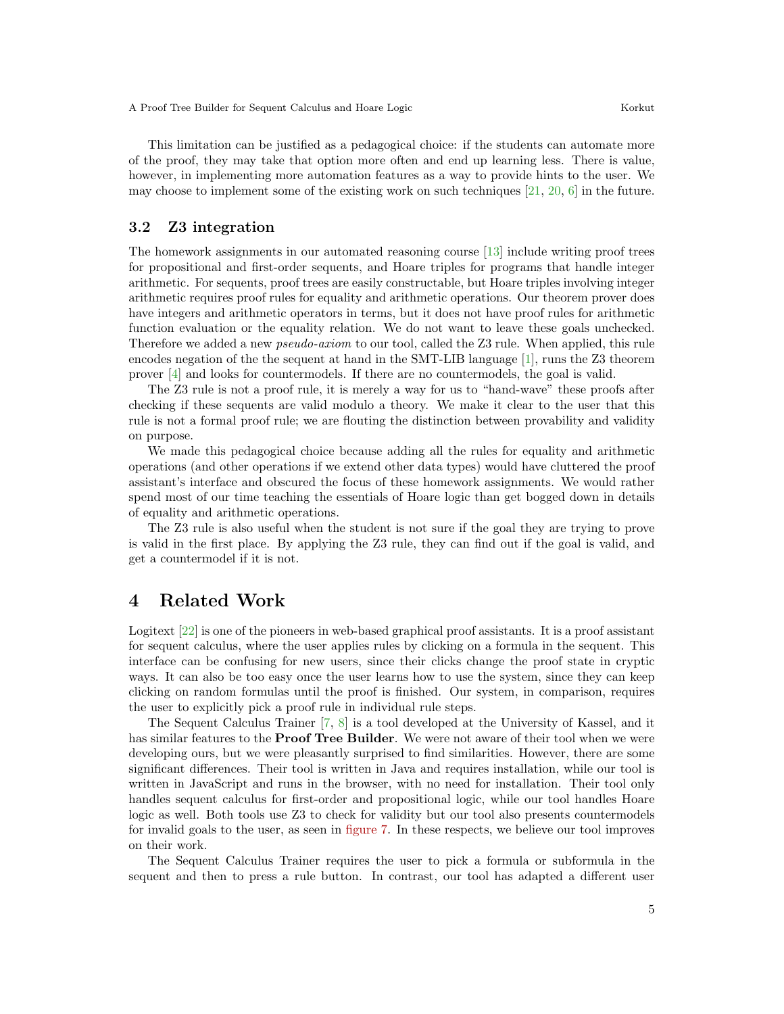This limitation can be justified as a pedagogical choice: if the students can automate more of the proof, they may take that option more often and end up learning less. There is value, however, in implementing more automation features as a way to provide hints to the user. We may choose to implement some of the existing work on such techniques  $[21, 20, 6]$  $[21, 20, 6]$  $[21, 20, 6]$  $[21, 20, 6]$  $[21, 20, 6]$  in the future.

#### <span id="page-4-0"></span>3.2 Z3 integration

The homework assignments in our automated reasoning course [\[13\]](#page-6-6) include writing proof trees for propositional and first-order sequents, and Hoare triples for programs that handle integer arithmetic. For sequents, proof trees are easily constructable, but Hoare triples involving integer arithmetic requires proof rules for equality and arithmetic operations. Our theorem prover does have integers and arithmetic operators in terms, but it does not have proof rules for arithmetic function evaluation or the equality relation. We do not want to leave these goals unchecked. Therefore we added a new *pseudo-axiom* to our tool, called the Z3 rule. When applied, this rule encodes negation of the the sequent at hand in the SMT-LIB language [\[1\]](#page-6-7), runs the Z3 theorem prover [\[4\]](#page-6-2) and looks for countermodels. If there are no countermodels, the goal is valid.

The Z3 rule is not a proof rule, it is merely a way for us to "hand-wave" these proofs after checking if these sequents are valid modulo a theory. We make it clear to the user that this rule is not a formal proof rule; we are flouting the distinction between provability and validity on purpose.

We made this pedagogical choice because adding all the rules for equality and arithmetic operations (and other operations if we extend other data types) would have cluttered the proof assistant's interface and obscured the focus of these homework assignments. We would rather spend most of our time teaching the essentials of Hoare logic than get bogged down in details of equality and arithmetic operations.

The Z3 rule is also useful when the student is not sure if the goal they are trying to prove is valid in the first place. By applying the Z3 rule, they can find out if the goal is valid, and get a countermodel if it is not.

# 4 Related Work

Logitext [\[22\]](#page-6-8) is one of the pioneers in web-based graphical proof assistants. It is a proof assistant for sequent calculus, where the user applies rules by clicking on a formula in the sequent. This interface can be confusing for new users, since their clicks change the proof state in cryptic ways. It can also be too easy once the user learns how to use the system, since they can keep clicking on random formulas until the proof is finished. Our system, in comparison, requires the user to explicitly pick a proof rule in individual rule steps.

The Sequent Calculus Trainer [\[7,](#page-6-9) [8\]](#page-6-10) is a tool developed at the University of Kassel, and it has similar features to the **Proof Tree Builder**. We were not aware of their tool when we were developing ours, but we were pleasantly surprised to find similarities. However, there are some significant differences. Their tool is written in Java and requires installation, while our tool is written in JavaScript and runs in the browser, with no need for installation. Their tool only handles sequent calculus for first-order and propositional logic, while our tool handles Hoare logic as well. Both tools use Z3 to check for validity but our tool also presents countermodels for invalid goals to the user, as seen in [figure 7.](#page-3-1) In these respects, we believe our tool improves on their work.

The Sequent Calculus Trainer requires the user to pick a formula or subformula in the sequent and then to press a rule button. In contrast, our tool has adapted a different user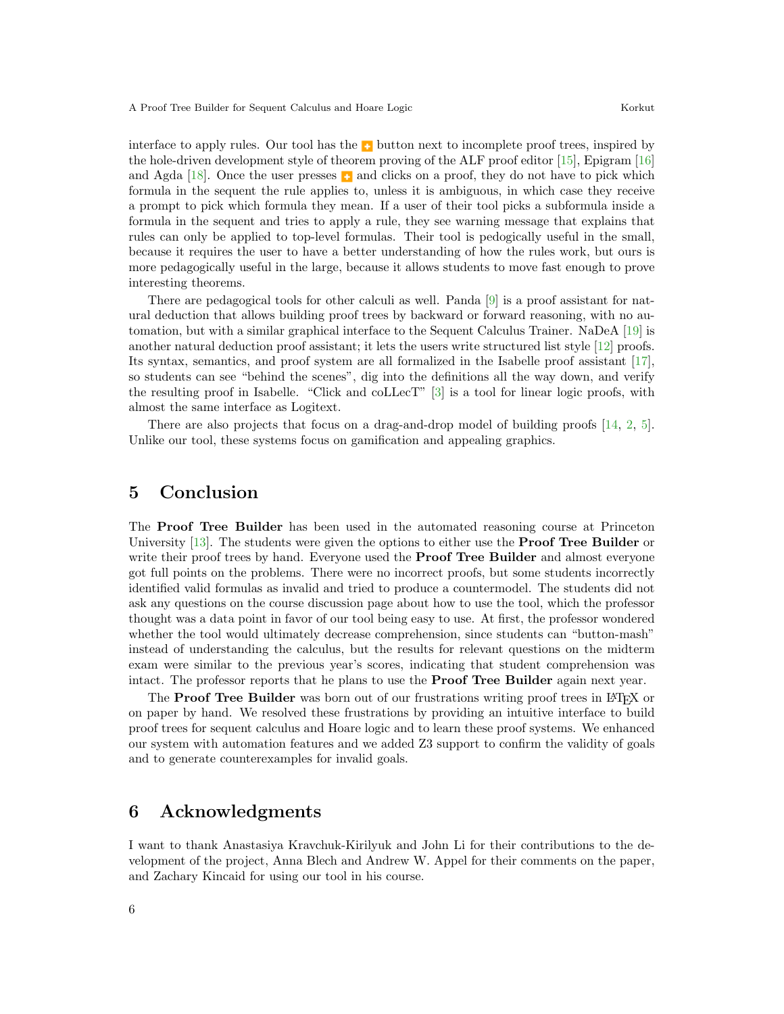interface to apply rules. Our tool has the **button** next to incomplete proof trees, inspired by the hole-driven development style of theorem proving of the ALF proof editor [\[15\]](#page-6-11), Epigram [\[16\]](#page-6-12) and Agda [\[18\]](#page-6-13). Once the user presses  $\Box$  and clicks on a proof, they do not have to pick which formula in the sequent the rule applies to, unless it is ambiguous, in which case they receive a prompt to pick which formula they mean. If a user of their tool picks a subformula inside a formula in the sequent and tries to apply a rule, they see warning message that explains that rules can only be applied to top-level formulas. Their tool is pedogically useful in the small, because it requires the user to have a better understanding of how the rules work, but ours is more pedagogically useful in the large, because it allows students to move fast enough to prove interesting theorems.

There are pedagogical tools for other calculi as well. Panda [\[9\]](#page-6-14) is a proof assistant for natural deduction that allows building proof trees by backward or forward reasoning, with no automation, but with a similar graphical interface to the Sequent Calculus Trainer. NaDeA [\[19\]](#page-6-15) is another natural deduction proof assistant; it lets the users write structured list style [\[12\]](#page-6-16) proofs. Its syntax, semantics, and proof system are all formalized in the Isabelle proof assistant [\[17\]](#page-6-17), so students can see "behind the scenes", dig into the definitions all the way down, and verify the resulting proof in Isabelle. "Click and coLLecT" [\[3\]](#page-6-18) is a tool for linear logic proofs, with almost the same interface as Logitext.

There are also projects that focus on a drag-and-drop model of building proofs [\[14,](#page-6-19) [2,](#page-6-20) [5\]](#page-6-21). Unlike our tool, these systems focus on gamification and appealing graphics.

# 5 Conclusion

The Proof Tree Builder has been used in the automated reasoning course at Princeton University [\[13\]](#page-6-6). The students were given the options to either use the **Proof Tree Builder** or write their proof trees by hand. Everyone used the **Proof Tree Builder** and almost everyone got full points on the problems. There were no incorrect proofs, but some students incorrectly identified valid formulas as invalid and tried to produce a countermodel. The students did not ask any questions on the course discussion page about how to use the tool, which the professor thought was a data point in favor of our tool being easy to use. At first, the professor wondered whether the tool would ultimately decrease comprehension, since students can "button-mash" instead of understanding the calculus, but the results for relevant questions on the midterm exam were similar to the previous year's scores, indicating that student comprehension was intact. The professor reports that he plans to use the Proof Tree Builder again next year.

The **Proof Tree Builder** was born out of our frustrations writing proof trees in LATEX or on paper by hand. We resolved these frustrations by providing an intuitive interface to build proof trees for sequent calculus and Hoare logic and to learn these proof systems. We enhanced our system with automation features and we added Z3 support to confirm the validity of goals and to generate counterexamples for invalid goals.

# 6 Acknowledgments

I want to thank Anastasiya Kravchuk-Kirilyuk and John Li for their contributions to the development of the project, Anna Blech and Andrew W. Appel for their comments on the paper, and Zachary Kincaid for using our tool in his course.